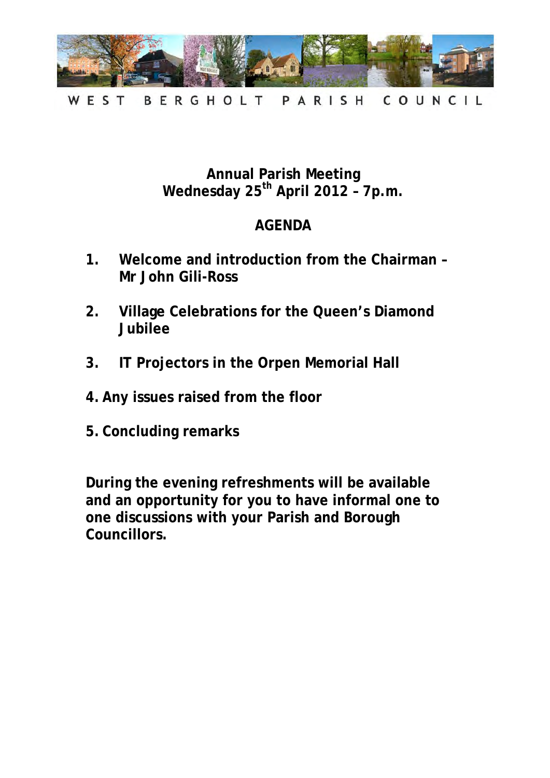

WEST BERGHOLT PARISH COUNCIL

# **Annual Parish Meeting Wednesday 25th April 2012 – 7p.m.**

# **AGENDA**

- **1. Welcome and introduction from the Chairman Mr John Gili-Ross**
- **2. Village Celebrations for the Queen's Diamond Jubilee**
- **3. IT Projectors in the Orpen Memorial Hall**
- **4. Any issues raised from the floor**
- **5. Concluding remarks**

**During the evening refreshments will be available and an opportunity for you to have informal one to one discussions with your Parish and Borough Councillors.**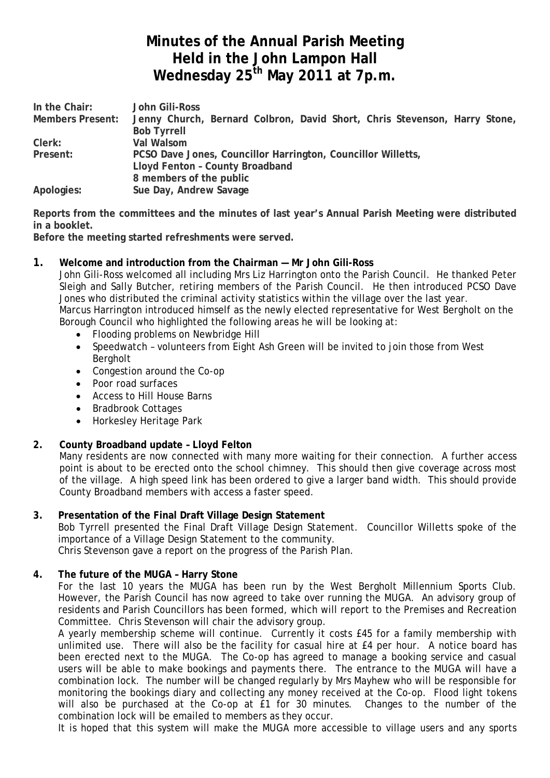# **Minutes of the Annual Parish Meeting Held in the John Lampon Hall Wednesday 25th May 2011 at 7p.m.**

| In the Chair:           | John Gili-Ross                                                            |
|-------------------------|---------------------------------------------------------------------------|
| <b>Members Present:</b> | Jenny Church, Bernard Colbron, David Short, Chris Stevenson, Harry Stone, |
|                         | <b>Bob Tyrrell</b>                                                        |
| Clerk:                  | Val Walsom                                                                |
| Present:                | PCSO Dave Jones, Councillor Harrington, Councillor Willetts,              |
|                         | Lloyd Fenton - County Broadband                                           |
|                         | 8 members of the public                                                   |
| Apologies:              | Sue Day, Andrew Savage                                                    |

**Reports from the committees and the minutes of last year's Annual Parish Meeting were distributed in a booklet.**

**Before the meeting started refreshments were served.**

#### **1. Welcome and introduction from the Chairman — Mr John Gili-Ross**

John Gili-Ross welcomed all including Mrs Liz Harrington onto the Parish Council. He thanked Peter Sleigh and Sally Butcher, retiring members of the Parish Council. He then introduced PCSO Dave Jones who distributed the criminal activity statistics within the village over the last year. Marcus Harrington introduced himself as the newly elected representative for West Bergholt on the

Borough Council who highlighted the following areas he will be looking at:

- Flooding problems on Newbridge Hill<br>• Speedwatch volunteers from Finht I
- Speedwatch volunteers from Eight Ash Green will be invited to join those from West Bergholt
- Congestion around the Co-op
- Poor road surfaces
- Access to Hill House Barns
- Bradbrook Cottages
- Horkesley Heritage Park

#### **2. County Broadband update – Lloyd Felton**

Many residents are now connected with many more waiting for their connection. A further access point is about to be erected onto the school chimney. This should then give coverage across most of the village. A high speed link has been ordered to give a larger band width. This should provide County Broadband members with access a faster speed.

#### **3. Presentation of the Final Draft Village Design Statement**

Bob Tyrrell presented the Final Draft Village Design Statement. Councillor Willetts spoke of the importance of a Village Design Statement to the community. Chris Stevenson gave a report on the progress of the Parish Plan.

# **4. The future of the MUGA – Harry Stone**

For the last 10 years the MUGA has been run by the West Bergholt Millennium Sports Club. However, the Parish Council has now agreed to take over running the MUGA. An advisory group of residents and Parish Councillors has been formed, which will report to the Premises and Recreation Committee. Chris Stevenson will chair the advisory group.

A yearly membership scheme will continue. Currently it costs £45 for a family membership with unlimited use. There will also be the facility for casual hire at £4 per hour. A notice board has been erected next to the MUGA. The Co-op has agreed to manage a booking service and casual users will be able to make bookings and payments there. The entrance to the MUGA will have a combination lock. The number will be changed regularly by Mrs Mayhew who will be responsible for monitoring the bookings diary and collecting any money received at the Co-op. Flood light tokens will also be purchased at the Co-op at £1 for 30 minutes. Changes to the number of the combination lock will be emailed to members as they occur.

It is hoped that this system will make the MUGA more accessible to village users and any sports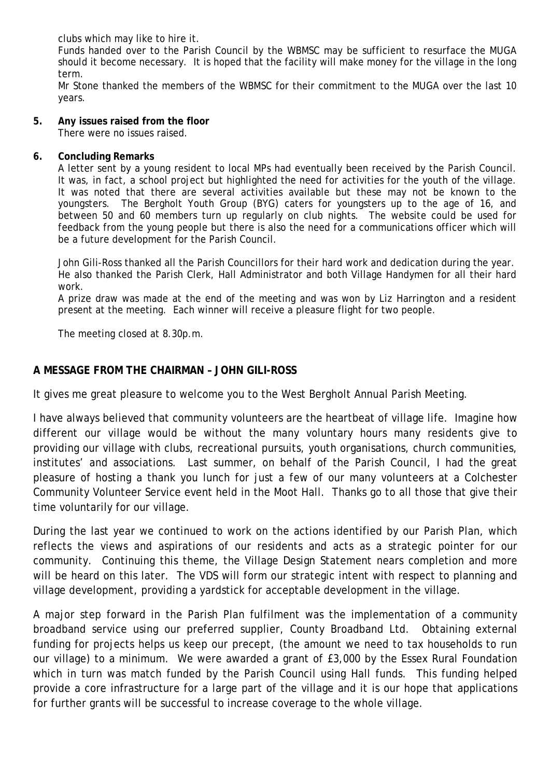clubs which may like to hire it.

Funds handed over to the Parish Council by the WBMSC may be sufficient to resurface the MUGA should it become necessary. It is hoped that the facility will make money for the village in the long term.

Mr Stone thanked the members of the WBMSC for their commitment to the MUGA over the last 10 years.

#### **5. Any issues raised from the floor**

There were no issues raised.

#### **6. Concluding Remarks**

A letter sent by a young resident to local MPs had eventually been received by the Parish Council. It was, in fact, a school project but highlighted the need for activities for the youth of the village. It was noted that there are several activities available but these may not be known to the youngsters. The Bergholt Youth Group (BYG) caters for youngsters up to the age of 16, and between 50 and 60 members turn up regularly on club nights. The website could be used for feedback from the young people but there is also the need for a communications officer which will be a future development for the Parish Council.

John Gili-Ross thanked all the Parish Councillors for their hard work and dedication during the year. He also thanked the Parish Clerk, Hall Administrator and both Village Handymen for all their hard work.

A prize draw was made at the end of the meeting and was won by Liz Harrington and a resident present at the meeting. Each winner will receive a pleasure flight for two people.

The meeting closed at 8.30p.m.

#### **A MESSAGE FROM THE CHAIRMAN – JOHN GILI-ROSS**

It gives me great pleasure to welcome you to the West Bergholt Annual Parish Meeting.

I have always believed that community volunteers are the heartbeat of village life. Imagine how different our village would be without the many voluntary hours many residents give to providing our village with clubs, recreational pursuits, youth organisations, church communities, institutes' and associations. Last summer, on behalf of the Parish Council, I had the great pleasure of hosting a thank you lunch for just a few of our many volunteers at a Colchester Community Volunteer Service event held in the Moot Hall. Thanks go to all those that give their time voluntarily for our village.

During the last year we continued to work on the actions identified by our Parish Plan, which reflects the views and aspirations of our residents and acts as a strategic pointer for our community. Continuing this theme, the Village Design Statement nears completion and more will be heard on this later. The VDS will form our strategic intent with respect to planning and village development, providing a yardstick for acceptable development in the village.

A major step forward in the Parish Plan fulfilment was the implementation of a community broadband service using our preferred supplier, County Broadband Ltd. Obtaining external funding for projects helps us keep our precept, (the amount we need to tax households to run our village) to a minimum. We were awarded a grant of £3,000 by the Essex Rural Foundation which in turn was match funded by the Parish Council using Hall funds. This funding helped provide a core infrastructure for a large part of the village and it is our hope that applications for further grants will be successful to increase coverage to the whole village.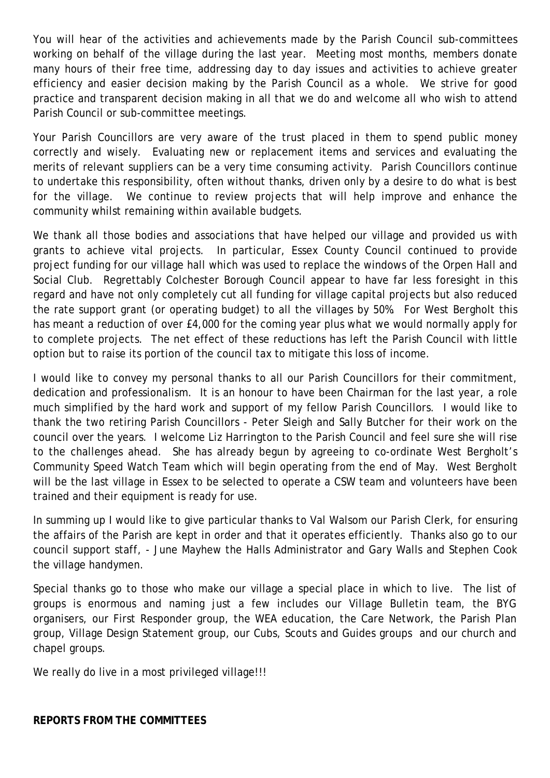You will hear of the activities and achievements made by the Parish Council sub-committees working on behalf of the village during the last year. Meeting most months, members donate many hours of their free time, addressing day to day issues and activities to achieve greater efficiency and easier decision making by the Parish Council as a whole. We strive for good practice and transparent decision making in all that we do and welcome all who wish to attend Parish Council or sub-committee meetings.

Your Parish Councillors are very aware of the trust placed in them to spend public money correctly and wisely. Evaluating new or replacement items and services and evaluating the merits of relevant suppliers can be a very time consuming activity. Parish Councillors continue to undertake this responsibility, often without thanks, driven only by a desire to do what is best for the village. We continue to review projects that will help improve and enhance the community whilst remaining within available budgets.

We thank all those bodies and associations that have helped our village and provided us with grants to achieve vital projects. In particular, Essex County Council continued to provide project funding for our village hall which was used to replace the windows of the Orpen Hall and Social Club. Regrettably Colchester Borough Council appear to have far less foresight in this regard and have not only completely cut all funding for village capital projects but also reduced the rate support grant (or operating budget) to all the villages by 50%. For West Bergholt this has meant a reduction of over £4,000 for the coming year plus what we would normally apply for to complete projects. The net effect of these reductions has left the Parish Council with little option but to raise its portion of the council tax to mitigate this loss of income.

I would like to convey my personal thanks to all our Parish Councillors for their commitment, dedication and professionalism. It is an honour to have been Chairman for the last year, a role much simplified by the hard work and support of my fellow Parish Councillors. I would like to thank the two retiring Parish Councillors - Peter Sleigh and Sally Butcher for their work on the council over the years. I welcome Liz Harrington to the Parish Council and feel sure she will rise to the challenges ahead. She has already begun by agreeing to co-ordinate West Bergholt's Community Speed Watch Team which will begin operating from the end of May. West Bergholt will be the last village in Essex to be selected to operate a CSW team and volunteers have been trained and their equipment is ready for use.

In summing up I would like to give particular thanks to Val Walsom our Parish Clerk, for ensuring the affairs of the Parish are kept in order and that it operates efficiently. Thanks also go to our council support staff, - June Mayhew the Halls Administrator and Gary Walls and Stephen Cook the village handymen.

Special thanks go to those who make our village a special place in which to live. The list of groups is enormous and naming just a few includes our Village Bulletin team, the BYG organisers, our First Responder group, the WEA education, the Care Network, the Parish Plan group, Village Design Statement group, our Cubs, Scouts and Guides groups and our church and chapel groups.

We really do live in a most privileged village!!!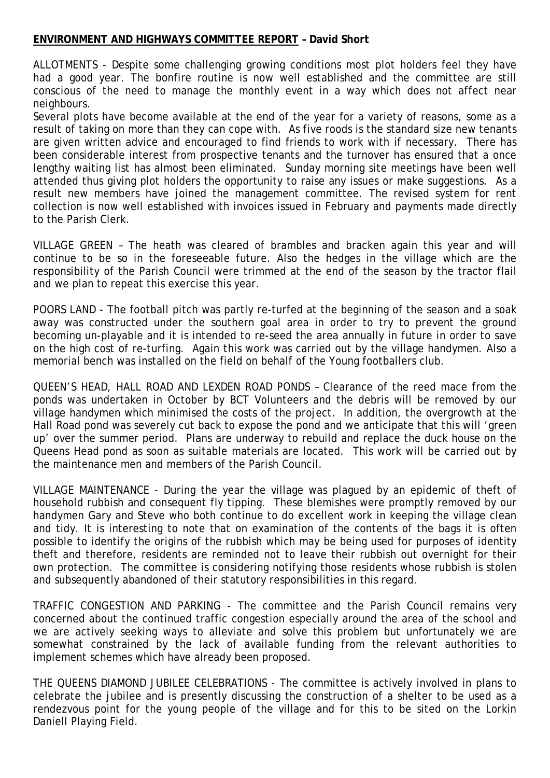#### **ENVIRONMENT AND HIGHWAYS COMMITTEE REPORT – David Short**

ALLOTMENTS - Despite some challenging growing conditions most plot holders feel they have had a good year. The bonfire routine is now well established and the committee are still conscious of the need to manage the monthly event in a way which does not affect near neighbours.

Several plots have become available at the end of the year for a variety of reasons, some as a result of taking on more than they can cope with. As five roods is the standard size new tenants are given written advice and encouraged to find friends to work with if necessary. There has been considerable interest from prospective tenants and the turnover has ensured that a once lengthy waiting list has almost been eliminated. Sunday morning site meetings have been well attended thus giving plot holders the opportunity to raise any issues or make suggestions. As a result new members have joined the management committee. The revised system for rent collection is now well established with invoices issued in February and payments made directly to the Parish Clerk.

VILLAGE GREEN – The heath was cleared of brambles and bracken again this year and will continue to be so in the foreseeable future. Also the hedges in the village which are the responsibility of the Parish Council were trimmed at the end of the season by the tractor flail and we plan to repeat this exercise this year.

POORS LAND - The football pitch was partly re-turfed at the beginning of the season and a soak away was constructed under the southern goal area in order to try to prevent the ground becoming un-playable and it is intended to re-seed the area annually in future in order to save on the high cost of re-turfing. Again this work was carried out by the village handymen. Also a memorial bench was installed on the field on behalf of the Young footballers club.

QUEEN'S HEAD, HALL ROAD AND LEXDEN ROAD PONDS – Clearance of the reed mace from the ponds was undertaken in October by BCT Volunteers and the debris will be removed by our village handymen which minimised the costs of the project. In addition, the overgrowth at the Hall Road pond was severely cut back to expose the pond and we anticipate that this will 'green up' over the summer period. Plans are underway to rebuild and replace the duck house on the Queens Head pond as soon as suitable materials are located. This work will be carried out by the maintenance men and members of the Parish Council.

VILLAGE MAINTENANCE - During the year the village was plagued by an epidemic of theft of household rubbish and consequent fly tipping. These blemishes were promptly removed by our handymen Gary and Steve who both continue to do excellent work in keeping the village clean and tidy. It is interesting to note that on examination of the contents of the bags it is often possible to identify the origins of the rubbish which may be being used for purposes of identity theft and therefore, residents are reminded not to leave their rubbish out overnight for their own protection. The committee is considering notifying those residents whose rubbish is stolen and subsequently abandoned of their statutory responsibilities in this regard.

TRAFFIC CONGESTION AND PARKING - The committee and the Parish Council remains very concerned about the continued traffic congestion especially around the area of the school and we are actively seeking ways to alleviate and solve this problem but unfortunately we are somewhat constrained by the lack of available funding from the relevant authorities to implement schemes which have already been proposed.

THE QUEENS DIAMOND JUBILEE CELEBRATIONS - The committee is actively involved in plans to celebrate the jubilee and is presently discussing the construction of a shelter to be used as a rendezvous point for the young people of the village and for this to be sited on the Lorkin Daniell Playing Field.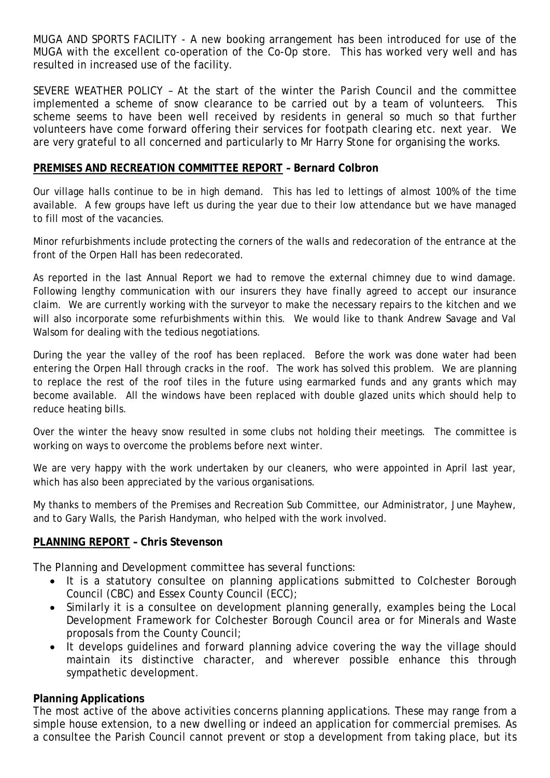MUGA AND SPORTS FACILITY - A new booking arrangement has been introduced for use of the MUGA with the excellent co-operation of the Co-Op store. This has worked very well and has resulted in increased use of the facility.

SEVERE WEATHER POLICY – At the start of the winter the Parish Council and the committee implemented a scheme of snow clearance to be carried out by a team of volunteers. This scheme seems to have been well received by residents in general so much so that further volunteers have come forward offering their services for footpath clearing etc. next year. We are very grateful to all concerned and particularly to Mr Harry Stone for organising the works.

#### **PREMISES AND RECREATION COMMITTEE REPORT – Bernard Colbron**

Our village halls continue to be in high demand. This has led to lettings of almost 100% of the time available. A few groups have left us during the year due to their low attendance but we have managed to fill most of the vacancies.

Minor refurbishments include protecting the corners of the walls and redecoration of the entrance at the front of the Orpen Hall has been redecorated.

As reported in the last Annual Report we had to remove the external chimney due to wind damage. Following lengthy communication with our insurers they have finally agreed to accept our insurance claim. We are currently working with the surveyor to make the necessary repairs to the kitchen and we will also incorporate some refurbishments within this. We would like to thank Andrew Savage and Val Walsom for dealing with the tedious negotiations.

During the year the valley of the roof has been replaced. Before the work was done water had been entering the Orpen Hall through cracks in the roof. The work has solved this problem. We are planning to replace the rest of the roof tiles in the future using earmarked funds and any grants which may become available. All the windows have been replaced with double glazed units which should help to reduce heating bills.

Over the winter the heavy snow resulted in some clubs not holding their meetings. The committee is working on ways to overcome the problems before next winter.

We are very happy with the work undertaken by our cleaners, who were appointed in April last year, which has also been appreciated by the various organisations.

My thanks to members of the Premises and Recreation Sub Committee, our Administrator, June Mayhew, and to Gary Walls, the Parish Handyman, who helped with the work involved.

# **PLANNING REPORT – Chris Stevenson**

The Planning and Development committee has several functions:

- It is a statutory consultee on planning applications submitted to Colchester Borough Council (CBC) and Essex County Council (ECC);
- Similarly it is a consultee on development planning generally, examples being the Local Development Framework for Colchester Borough Council area or for Minerals and Waste proposals from the County Council;
- It develops guidelines and forward planning advice covering the way the village should maintain its distinctive character, and wherever possible enhance this through sympathetic development.

# **Planning Applications**

The most active of the above activities concerns planning applications. These may range from a simple house extension, to a new dwelling or indeed an application for commercial premises. As a consultee the Parish Council cannot prevent or stop a development from taking place, but its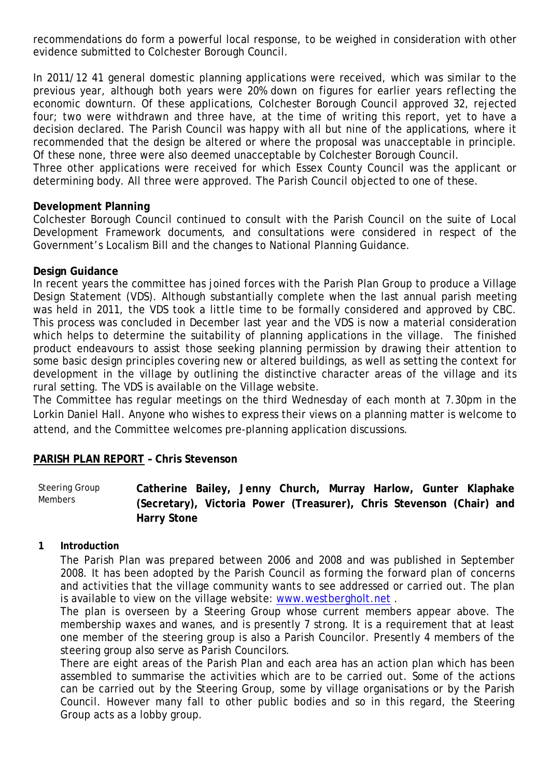recommendations do form a powerful local response, to be weighed in consideration with other evidence submitted to Colchester Borough Council.

In 2011/12 41 general domestic planning applications were received, which was similar to the previous year, although both years were 20% down on figures for earlier years reflecting the economic downturn. Of these applications, Colchester Borough Council approved 32, rejected four; two were withdrawn and three have, at the time of writing this report, yet to have a decision declared. The Parish Council was happy with all but nine of the applications, where it recommended that the design be altered or where the proposal was unacceptable in principle. Of these none, three were also deemed unacceptable by Colchester Borough Council.

Three other applications were received for which Essex County Council was the applicant or determining body. All three were approved. The Parish Council objected to one of these.

#### **Development Planning**

Colchester Borough Council continued to consult with the Parish Council on the suite of Local Development Framework documents, and consultations were considered in respect of the Government's Localism Bill and the changes to National Planning Guidance.

#### **Design Guidance**

In recent years the committee has joined forces with the Parish Plan Group to produce a Village Design Statement (VDS). Although substantially complete when the last annual parish meeting was held in 2011, the VDS took a little time to be formally considered and approved by CBC. This process was concluded in December last year and the VDS is now a material consideration which helps to determine the suitability of planning applications in the village. The finished product endeavours to assist those seeking planning permission by drawing their attention to some basic design principles covering new or altered buildings, as well as setting the context for development in the village by outlining the distinctive character areas of the village and its rural setting. The VDS is available on the Village website.

The Committee has regular meetings on the third Wednesday of each month at 7.30pm in the Lorkin Daniel Hall. Anyone who wishes to express their views on a planning matter is welcome to attend, and the Committee welcomes pre-planning application discussions.

#### **PARISH PLAN REPORT – Chris Stevenson**

Steering Group Members **Catherine Bailey, Jenny Church, Murray Harlow, Gunter Klaphake (Secretary), Victoria Power (Treasurer), Chris Stevenson (Chair) and Harry Stone**

#### **1 Introduction**

The Parish Plan was prepared between 2006 and 2008 and was published in September 2008. It has been adopted by the Parish Council as forming the forward plan of concerns and activities that the village community wants to see addressed or carried out. The plan is available to view on the village website: [www.westbergholt.net](http://www.westbergholt.net/) .

The plan is overseen by a Steering Group whose current members appear above. The membership waxes and wanes, and is presently 7 strong. It is a requirement that at least one member of the steering group is also a Parish Councilor. Presently 4 members of the steering group also serve as Parish Councilors.

There are eight areas of the Parish Plan and each area has an action plan which has been assembled to summarise the activities which are to be carried out. Some of the actions can be carried out by the Steering Group, some by village organisations or by the Parish Council. However many fall to other public bodies and so in this regard, the Steering Group acts as a lobby group.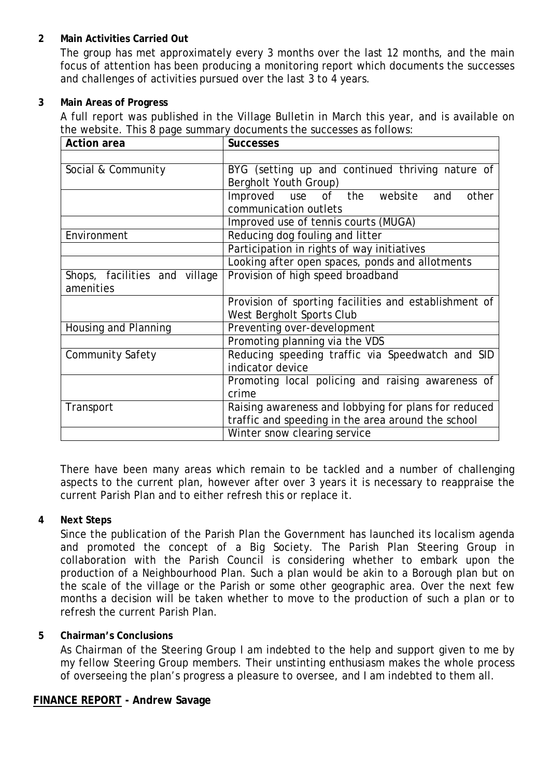# **2 Main Activities Carried Out**

The group has met approximately every 3 months over the last 12 months, and the main focus of attention has been producing a monitoring report which documents the successes and challenges of activities pursued over the last 3 to 4 years.

#### **3 Main Areas of Progress**

A full report was published in the Village Bulletin in March this year, and is available on the website. This 8 page summary documents the successes as follows:

| <b>Action area</b>            | <b>Successes</b>                                      |  |  |  |  |  |  |
|-------------------------------|-------------------------------------------------------|--|--|--|--|--|--|
|                               |                                                       |  |  |  |  |  |  |
| Social & Community            | BYG (setting up and continued thriving nature of      |  |  |  |  |  |  |
|                               | Bergholt Youth Group)                                 |  |  |  |  |  |  |
|                               | Improved use of the website<br>other<br>and           |  |  |  |  |  |  |
|                               | communication outlets                                 |  |  |  |  |  |  |
|                               | Improved use of tennis courts (MUGA)                  |  |  |  |  |  |  |
| Environment                   | Reducing dog fouling and litter                       |  |  |  |  |  |  |
|                               | Participation in rights of way initiatives            |  |  |  |  |  |  |
|                               | Looking after open spaces, ponds and allotments       |  |  |  |  |  |  |
| Shops, facilities and village | Provision of high speed broadband                     |  |  |  |  |  |  |
| amenities                     |                                                       |  |  |  |  |  |  |
|                               | Provision of sporting facilities and establishment of |  |  |  |  |  |  |
|                               | West Bergholt Sports Club                             |  |  |  |  |  |  |
| Housing and Planning          | Preventing over-development                           |  |  |  |  |  |  |
|                               | Promoting planning via the VDS                        |  |  |  |  |  |  |
| <b>Community Safety</b>       | Reducing speeding traffic via Speedwatch and SID      |  |  |  |  |  |  |
|                               | indicator device                                      |  |  |  |  |  |  |
|                               | Promoting local policing and raising awareness of     |  |  |  |  |  |  |
|                               | crime                                                 |  |  |  |  |  |  |
| Transport                     | Raising awareness and lobbying for plans for reduced  |  |  |  |  |  |  |
|                               | traffic and speeding in the area around the school    |  |  |  |  |  |  |
|                               | Winter snow clearing service                          |  |  |  |  |  |  |

There have been many areas which remain to be tackled and a number of challenging aspects to the current plan, however after over 3 years it is necessary to reappraise the current Parish Plan and to either refresh this or replace it.

# **4 Next Steps**

Since the publication of the Parish Plan the Government has launched its localism agenda and promoted the concept of a Big Society. The Parish Plan Steering Group in collaboration with the Parish Council is considering whether to embark upon the production of a Neighbourhood Plan. Such a plan would be akin to a Borough plan but on the scale of the village or the Parish or some other geographic area. Over the next few months a decision will be taken whether to move to the production of such a plan or to refresh the current Parish Plan.

# **5 Chairman's Conclusions**

As Chairman of the Steering Group I am indebted to the help and support given to me by my fellow Steering Group members. Their unstinting enthusiasm makes the whole process of overseeing the plan's progress a pleasure to oversee, and I am indebted to them all.

# **FINANCE REPORT - Andrew Savage**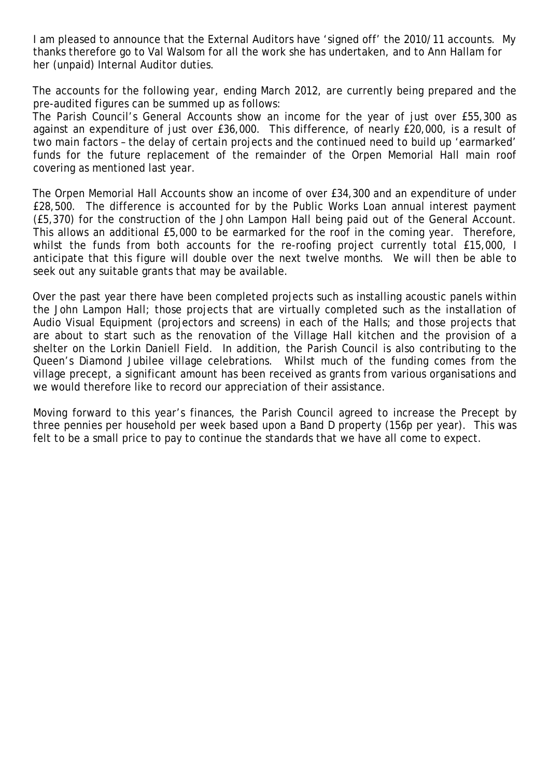I am pleased to announce that the External Auditors have 'signed off' the 2010/11 accounts. My thanks therefore go to Val Walsom for all the work she has undertaken, and to Ann Hallam for her (unpaid) Internal Auditor duties.

The accounts for the following year, ending March 2012, are currently being prepared and the pre-audited figures can be summed up as follows:

The Parish Council's General Accounts show an income for the year of just over £55,300 as against an expenditure of just over £36,000. This difference, of nearly £20,000, is a result of two main factors – the delay of certain projects and the continued need to build up 'earmarked' funds for the future replacement of the remainder of the Orpen Memorial Hall main roof covering as mentioned last year.

The Orpen Memorial Hall Accounts show an income of over £34,300 and an expenditure of under £28,500. The difference is accounted for by the Public Works Loan annual interest payment (£5,370) for the construction of the John Lampon Hall being paid out of the General Account. This allows an additional £5,000 to be earmarked for the roof in the coming year. Therefore, whilst the funds from both accounts for the re-roofing project currently total £15,000, I anticipate that this figure will double over the next twelve months. We will then be able to seek out any suitable grants that may be available.

Over the past year there have been completed projects such as installing acoustic panels within the John Lampon Hall; those projects that are virtually completed such as the installation of Audio Visual Equipment (projectors and screens) in each of the Halls; and those projects that are about to start such as the renovation of the Village Hall kitchen and the provision of a shelter on the Lorkin Daniell Field. In addition, the Parish Council is also contributing to the Queen's Diamond Jubilee village celebrations. Whilst much of the funding comes from the village precept, a significant amount has been received as grants from various organisations and we would therefore like to record our appreciation of their assistance.

Moving forward to this year's finances, the Parish Council agreed to increase the Precept by three pennies per household per week based upon a Band D property (156p per year). This was felt to be a small price to pay to continue the standards that we have all come to expect.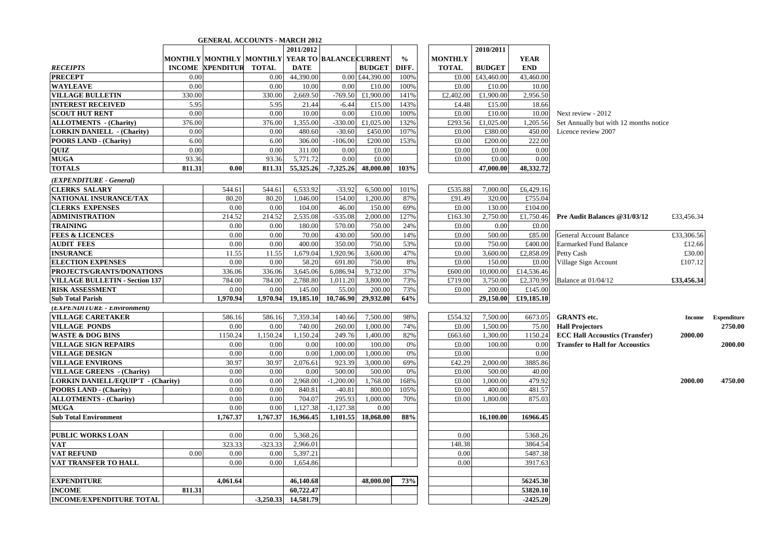|                                           |               |                  |                                                       | 2011/2012             |             |                 |       |                |         | 2010/2011     |             |                                        |               |             |
|-------------------------------------------|---------------|------------------|-------------------------------------------------------|-----------------------|-------------|-----------------|-------|----------------|---------|---------------|-------------|----------------------------------------|---------------|-------------|
|                                           |               |                  | MONTHLY  MONTHLY   MONTHLY   YEAR TO  BALANCE CURRENT |                       |             |                 | $\%$  | <b>MONTHLY</b> |         |               | <b>YEAR</b> |                                        |               |             |
| <b>RECEIPTS</b>                           | <b>INCOME</b> | <b>XPENDITUR</b> | TOTAL                                                 | <b>DATE</b>           |             | <b>BUDGET</b>   | DIFF. | <b>TOTAL</b>   |         | <b>BUDGET</b> | <b>END</b>  |                                        |               |             |
| <b>PRECEPT</b>                            | 0.00          |                  | 0.00                                                  | 44,390.00             |             | 0.00 £44,390.00 | 100%  |                | £0.00   | £43,460.00    | 43,460.00   |                                        |               |             |
| <b>WAYLEAVE</b>                           | 0.00          |                  | 0.00                                                  | 10.00                 | 0.00        | £10.00          | 100%  |                | £0.00   | £10.00        | 10.00       |                                        |               |             |
| <b>VILLAGE BULLETIN</b>                   | 330.00        |                  | 330.00                                                | 2,669.50              | $-769.50$   | £1,900.00       | 141%  | £2,402.00      |         | £1,900.00     | 2,956.50    |                                        |               |             |
| <b>INTEREST RECEIVED</b>                  | 5.95          |                  | 5.95                                                  | 21.44                 | $-6.44$     | £15.00          | 143%  |                | £4.48   | £15.00        | 18.66       |                                        |               |             |
| SCOUT HUT RENT                            | 0.00          |                  | 0.00                                                  | 10.00                 | 0.00        | £10.00          | 100%  |                | £0.00   | £10.00        | 10.00       | Next review - 2012                     |               |             |
| <b>ALLOTMENTS</b> - (Charity)             | 376.00        |                  | 376.00                                                | 1,355.00              | $-330.00$   | £1,025.00       | 132%  |                | £293.56 | £1,025.00     | 1,205.56    | Set Annually but with 12 months notice |               |             |
| <b>LORKIN DANIELL - (Charity)</b>         | 0.00          |                  | 0.00                                                  | 480.60                | $-30.60$    | £450.00         | 107%  |                | £0.00   | £380.00       | 450.00      | Licence review 2007                    |               |             |
| <b>POORS LAND - (Charity)</b>             | 6.00          |                  | 6.00                                                  | 306.00                | $-106.00$   | £200.00         | 153%  |                | £0.00   | £200.00       | 222.00      |                                        |               |             |
| QUIZ                                      | 0.00          |                  | 0.00                                                  | 311.00                | 0.00        | £0.00           |       |                | £0.00   | £0.00         | 0.00        |                                        |               |             |
| <b>MUGA</b>                               | 93.36         |                  | 93.36                                                 | 5,771.72              | 0.00        | £0.00           |       |                | £0.00   | £0.00         | 0.00        |                                        |               |             |
| <b>TOTALS</b>                             | 811.31        | 0.00             | 811.31                                                | 55,325.26             | $-7,325.26$ | 48,000.00       | 103%  |                |         | 47,000.00     | 48,332.72   |                                        |               |             |
| (EXPENDITURE - General)                   |               |                  |                                                       |                       |             |                 |       |                |         |               |             |                                        |               |             |
| <b>CLERKS SALARY</b>                      |               | 544.61           | 544.61                                                | 6,533.92              |             | 6,500.00        |       |                | £535.88 | 7,000.00      | £6,429.16   |                                        |               |             |
|                                           |               |                  |                                                       |                       | $-33.92$    |                 | 101%  |                |         |               |             |                                        |               |             |
| NATIONAL INSURANCE/TAX                    |               | 80.20            | 80.20                                                 | 1,046.00              | 154.00      | 1,200.00        | 87%   |                | £91.49  | 320.00        | £755.04     |                                        |               |             |
| <b>CLERKS EXPENSES</b>                    |               | 0.00             | 0.00                                                  | 104.00                | 46.00       | 150.00          | 69%   |                | £0.00   | 130.00        | £104.00     |                                        |               |             |
| <b>ADMINISTRATION</b>                     |               | 214.52           | 214.52                                                | 2,535.08              | $-535.08$   | 2,000.00        | 127%  |                | £163.30 | 2,750.00      | £1,750.46   | Pre Audit Balances @31/03/12           | £33,456.34    |             |
| <b>TRAINING</b>                           |               | 0.00             | 0.00                                                  | 180.00                | 570.00      | 750.00          | 24%   |                | £0.00   | 0.00          | £0.00       |                                        |               |             |
| <b>FEES &amp; LICENCES</b>                |               | 0.00             | 0.00                                                  | 70.00                 | 430.00      | 500.00          | 14%   |                | £0.00   | 500.00        | £85.00      | <b>General Account Balance</b>         | £33,306.56    |             |
| <b>AUDIT FEES</b>                         |               | 0.00             | 0.00                                                  | 400.00                | 350.00      | 750.00          | 53%   |                | £0.00   | 750.00        | £400.00     | <b>Earmarked Fund Balance</b>          | £12.66        |             |
| <b>INSURANCE</b>                          |               | 11.55            | 11.55                                                 | 1,679.04              | 1,920.96    | 3,600.00        | 47%   |                | £0.00   | 3,600.00      | £2,858.09   | Petty Cash                             | £30.00        |             |
| <b>ELECTION EXPENSES</b>                  |               | 0.00             | 0.00                                                  | 58.20                 | 691.80      | 750.00          | 8%    |                | £0.00   | 150.00        | £0.00       | Village Sign Account                   | £107.12       |             |
| PROJECTS/GRANTS/DONATIONS                 |               | 336.06           | 336.06                                                | 3,645.06              | 6,086.94    | 9,732.00        | 37%   |                | £600.00 | 10,000.00     | £14,536.46  |                                        |               |             |
| <b>VILLAGE BULLETIN - Section 137</b>     |               | 784.00           | 784.00                                                | 2,788.80              | 1,011.20    | 3,800.00        | 73%   |                | £719.00 | 3,750.00      | £2,370.99   | Balance at $01/04/12$                  | £33,456.34    |             |
| <b>RISK ASSESSMENT</b>                    |               | 0.00             | 0.00                                                  | 145.00                | 55.00       | 200.00          | 73%   |                | £0.00   | 200.00        | £145.00     |                                        |               |             |
| <b>Sub Total Parish</b>                   |               | 1.970.94         | 1.970.94                                              | 19,185.10             | 10,746.90   | 29,932.00       | 64%   |                |         | 29,150.00     | £19,185.10  |                                        |               |             |
| (EXPENDITURE - Environment)               |               |                  |                                                       |                       |             |                 |       |                |         |               |             |                                        |               |             |
| <b>VILLAGE CARETAKER</b>                  |               | 586.16           | 586.16                                                | 7,359.34              | 140.66      | 7,500.00        | 98%   |                | £554.32 | 7,500.00      | 6673.05     | <b>GRANTS</b> etc.                     | <b>Income</b> | Expenditure |
| <b>VILLAGE PONDS</b>                      |               | 0.00             | 0.00                                                  | 740.00                | 260.00      | 1,000.00        | 74%   |                | £0.00   | 1,500.00      | 75.00       | <b>Hall Projectors</b>                 |               | 2750.00     |
| <b>WASTE &amp; DOG BINS</b>               |               | 1150.24          | 1,150.24                                              | 1,150.24              | 249.76      | 1,400.00        | 82%   |                | £663.60 | 1,300.00      | 1150.24     | <b>ECC Hall Accoustics (Transfer)</b>  | 2000.00       |             |
| <b>VILLAGE SIGN REPAIRS</b>               |               | 0.00             | 0.00                                                  | 0.00                  | 100.00      | 100.00          | 0%    |                | £0.00   | 100.00        | 0.00        | <b>Transfer to Hall for Accoustics</b> |               | 2000.00     |
| <b>VILLAGE DESIGN</b>                     |               | 0.00             | 0.00                                                  | 0.00                  | 1,000.00    | 1,000.00        | 0%    |                | £0.00   |               | 0.00        |                                        |               |             |
| <b>VILLAGE ENVIRONS</b>                   |               | 30.97            | 30.97                                                 | 2,076.61              | 923.39      | 3,000.00        | 69%   |                | £42.29  | 2,000.00      | 3885.86     |                                        |               |             |
| <b>VILLAGE GREENS</b> - (Charity)         |               | 0.00             | 0.00                                                  | 0.00                  | 500.00      | 500.00          | 0%    |                | £0.00   | 500.00        | 40.00       |                                        |               |             |
| <b>LORKIN DANIELL/EQUIP'T - (Charity)</b> |               | 0.00             | 0.00                                                  | 2,968.00              | $-1,200.00$ | 1,768.00        | 168%  |                | £0.00   | 1,000.00      | 479.92      |                                        | 2000.00       | 4750.00     |
| <b>POORS LAND - (Charity)</b>             |               | 0.00             | 0.00                                                  | 840.81                | $-40.81$    | 800.00          | 105%  |                | £0.00   | 400.00        | 481.57      |                                        |               |             |
| <b>ALLOTMENTS - (Charity)</b>             |               | 0.00             | 0.00                                                  | 704.07                | 295.93      | 1,000.00        | 70%   |                | £0.00   | 1,800.00      | 875.03      |                                        |               |             |
| <b>MUGA</b>                               |               | 0.00             | 0.00                                                  | 1,127.38              | $-1,127.38$ | 0.00            |       |                |         |               |             |                                        |               |             |
| <b>Sub Total Environment</b>              |               | 1,767.37         | 1,767.37                                              | 16,966.45             | 1,101.55    | 18,068.00       | 88%   |                |         | 16,100.00     | 16966.45    |                                        |               |             |
|                                           |               |                  |                                                       |                       |             |                 |       |                |         |               |             |                                        |               |             |
| <b>PUBLIC WORKS LOAN</b>                  |               | 0.00             | 0.00                                                  | 5,368.26              |             |                 |       |                | 0.00    |               | 5368.26     |                                        |               |             |
| <b>VAT</b>                                |               | 323.33           | $-323.33$                                             | 2,966.01              |             |                 |       |                | 148.38  |               | 3864.54     |                                        |               |             |
| <b>VAT REFUND</b>                         | 0.00          | 0.00             | 0.00                                                  | 5.397.21              |             |                 |       |                | 0.00    |               | 5487.38     |                                        |               |             |
| <b>VAT TRANSFER TO HALL</b>               |               | 0.00             | 0.00                                                  | 1,654.86              |             |                 |       |                | 0.00    |               | 3917.63     |                                        |               |             |
|                                           |               |                  |                                                       |                       |             |                 |       |                |         |               |             |                                        |               |             |
| <b>EXPENDITURE</b>                        |               | 4,061.64         |                                                       | 46,140.68             |             | 48,000.00       | 73%   |                |         |               | 56245.30    |                                        |               |             |
| <b>INCOME</b>                             | 811.31        |                  |                                                       | 60,722.47             |             |                 |       |                |         |               | 53820.10    |                                        |               |             |
| <b>INCOME/EXPENDITURE TOTAL</b>           |               |                  |                                                       | $-3,250.33$ 14,581.79 |             |                 |       |                |         |               | $-2425.20$  |                                        |               |             |